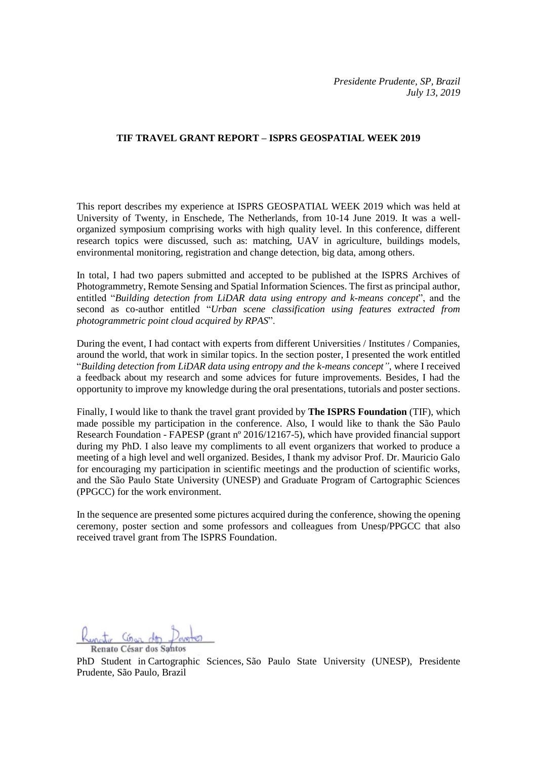## **TIF TRAVEL GRANT REPORT – ISPRS GEOSPATIAL WEEK 2019**

This report describes my experience at ISPRS GEOSPATIAL WEEK 2019 which was held at University of Twenty, in Enschede, The Netherlands, from 10-14 June 2019. It was a wellorganized symposium comprising works with high quality level. In this conference, different research topics were discussed, such as: [matching,](https://www.conftool.com/gsw2019/index.php?page=browseSessions&form_session=61) UAV in agriculture, buildings models, environmental monitoring, registration and change detection, big data, among others.

In total, I had two papers submitted and accepted to be published at the ISPRS Archives of Photogrammetry, Remote Sensing and Spatial Information Sciences. The first as principal author, entitled "*Building detection from LiDAR data using entropy and k-means concept*", and the second as co-author entitled "*Urban scene classification using features extracted from photogrammetric point cloud acquired by RPAS*".

During the event, I had contact with experts from different Universities / Institutes / Companies, around the world, that work in similar topics. In the section poster, I presented the work entitled "*[Building detection from LiDAR data using entropy and the k-means concept"](https://www.researchgate.net/publication/333655361_BUILDING_DETECTION_FROM_LiDAR_DATA_USING_ENTROPY_AND_THE_K-MEANS_CONCEPT)*, where I received a feedback about my research and some advices for future improvements. Besides, I had the opportunity to improve my knowledge during the oral presentations, tutorials and poster sections.

Finally, I would like to thank the travel grant provided by **The ISPRS Foundation** (TIF), which made possible my participation in the conference. Also, I would like to thank the São Paulo Research Foundation - FAPESP (grant nº 2016/12167-5), which have provided financial support during my PhD. I also leave my compliments to all event organizers that worked to produce a meeting of a high level and well organized. Besides, I thank my advisor Prof. Dr. Mauricio Galo for encouraging my participation in scientific meetings and the production of scientific works, and the São Paulo State University (UNESP) and Graduate Program of Cartographic Sciences (PPGCC) for the work environment.

In the sequence are presented some pictures acquired during the conference, showing the opening ceremony, poster section and some professors and colleagues from Unesp/PPGCC that also received travel grant from The ISPRS Foundation.

Gono des Renato César dos Santos

PhD Student in Cartographic Sciences, São Paulo State University (UNESP), Presidente Prudente, São Paulo, Brazil